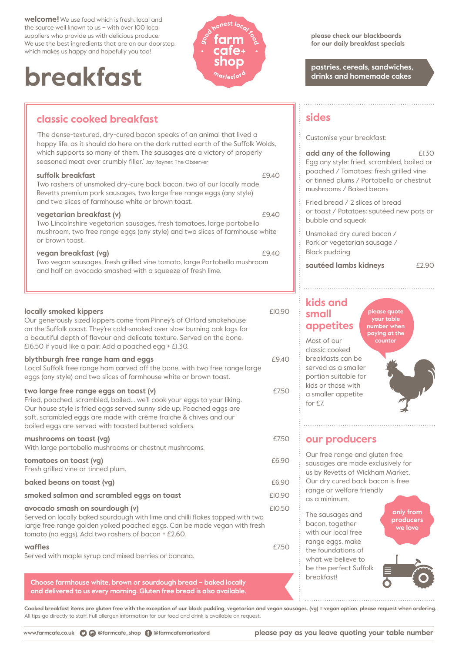**welcome!** We use food which is fresh, local and the source well known to us – with over 100 local suppliers who provide us with delicious produce. We use the best ingredients that are on our doorstep, which makes us happy and hopefully you too!

# **pastries, cereals, sandwiches, pastries, cereals, sandwiches, drinks and homemade cakes**



## **classic cooked breakfast**

'The dense-textured, dry-cured bacon speaks of an animal that lived a happy life, as it should do here on the dark rutted earth of the Suffolk Wolds, which supports so many of them. The sausages are a victory of properly seasoned meat over crumbly filler.' Jay Rayner, The Observer

#### **suffolk breakfast**  $\overline{940}$

Two rashers of unsmoked dry-cure back bacon, two of our locally made Revetts premium pork sausages, two large free range eggs (any style) and two slices of farmhouse white or brown toast.

#### **vegetarian breakfast (v)**  $£9.40$

Two Lincolnshire vegetarian sausages, fresh tomatoes, large portobello mushroom, two free range eggs (any style) and two slices of farmhouse white or brown toast.

#### **vegan breakfast (vg)**  $£9.40$

Two vegan sausages, fresh grilled vine tomato, large Portobello mushroom and half an avocado smashed with a squeeze of fresh lime.

#### **locally smoked kippers EIO.90** Our generously sized kippers come from Pinney's of Orford smokehouse on the Suffolk coast. They're cold-smoked over slow burning oak logs for a beautiful depth of flavour and delicate texture. Served on the bone. £16.50 if you'd like a pair. Add a poached egg + £1.30. **blythburgh free range ham and eggs**  $£9.40$ Local Suffolk free range ham carved off the bone, with two free range large eggs (any style) and two slices of farmhouse white or brown toast. **two large free range eggs on toast (v)**  $\qquad 2750$ Fried, poached, scrambled, boiled… we'll cook your eggs to your liking. Our house style is fried eggs served sunny side up. Poached eggs are soft, scrambled eggs are made with crème fraiche & chives and our

boiled eggs are served with toasted buttered soldiers.

#### **mushrooms on toast (vg) EXECUTE: EXECUTE: EXECUTE: EXECUTE: EXECUTE: EXECUTE: EXECUTE: EXECUTE: EXECUTE:**

With large portobello mushrooms or chestnut mushrooms.

| tomatoes on toast (vg)<br>Fresh grilled vine or tinned plum.                                                                                                                                                                                        | £6.90  |
|-----------------------------------------------------------------------------------------------------------------------------------------------------------------------------------------------------------------------------------------------------|--------|
| baked beans on toast (vg)                                                                                                                                                                                                                           | £6.90  |
| smoked salmon and scrambled eggs on toast                                                                                                                                                                                                           | £10.90 |
| avocado smash on sourdough (v)<br>Served on locally baked sourdough with lime and chilli flakes topped with two<br>large free range golden yolked poached eggs. Can be made vegan with fresh<br>tomato (no eggs). Add two rashers of bacon + £2.60. | f10.50 |

#### **waffles** £7.50

Served with maple syrup and mixed berries or banana.

**Choose farmhouse white, brown or sourdough bread – baked locally and delivered to us every morning. Gluten free bread is also available.**

**Cooked breakfast items are gluten free with the exception of our black pudding, vegetarian and vegan sausages. (vg) = vegan option, please request when ordering.** All tips go directly to staff. Full allergen information for our food and drink is available on request.

**please check our blackboards for our daily breakfast specials**

## **sides**

Customise your breakfast:

**add any of the following**  $E1.30$ Egg any style: fried, scrambled, boiled or poached / Tomatoes: fresh grilled vine or tinned plums / Portobello or chestnut mushrooms / Baked beans

Fried bread / 2 slices of bread or toast / Potatoes: sautéed new pots or bubble and squeak

Unsmoked dry cured bacon / Pork or vegetarian sausage / Black pudding

**sautéed lambs kidneys**  $E2.90$ 

## **kids and small appetites**

**please quote your table number when paying at the counter**

Most of our classic cooked breakfasts can be served as a smaller portion suitable for kids or those with a smaller appetite for £7.

### **our producers**

Our free range and gluten free sausages are made exclusively for us by Revetts of Wickham Market. Our dry cured back bacon is free range or welfare friendly as a minimum.

The sausages and bacon, together with our local free range eggs, make the foundations of what we believe to be the perfect Suffolk breakfast!

**only from producers we love**